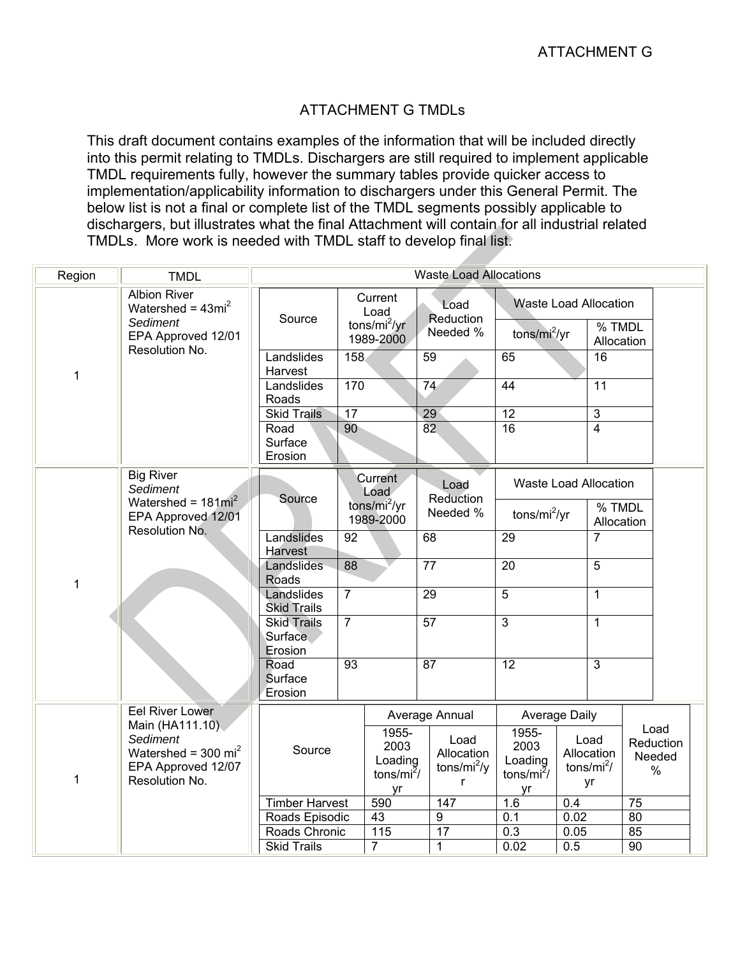## ATTACHMENT G TMDLs

This draft document contains examples of the information that will be included directly into this permit relating to TMDLs. Dischargers are still required to implement applicable TMDL requirements fully, however the summary tables provide quicker access to implementation/applicability information to dischargers under this General Permit. The below list is not a final or complete list of the TMDL segments possibly applicable to dischargers, but illustrates what the final Attachment will contain for all industrial related TMDLs. More work is needed with TMDL staff to develop final list.

| Region | <b>TMDL</b>                                                                                                                            | <b>Waste Load Allocations</b>            |                                                 |                                                  |                               |                                                    |                                                  |                      |                                                    |                 |                                     |
|--------|----------------------------------------------------------------------------------------------------------------------------------------|------------------------------------------|-------------------------------------------------|--------------------------------------------------|-------------------------------|----------------------------------------------------|--------------------------------------------------|----------------------|----------------------------------------------------|-----------------|-------------------------------------|
|        | <b>Albion River</b><br>Watershed = $43mi^2$<br>Sediment<br>EPA Approved 12/01                                                          | Source                                   | Current<br>Load<br>tons/ $mi^2/yr$<br>1989-2000 |                                                  | Load<br>Reduction<br>Needed % |                                                    | <b>Waste Load Allocation</b><br>tons/ $mi^2/yr$  | % TMDL<br>Allocation |                                                    |                 |                                     |
| 1      | Resolution No.                                                                                                                         | Landslides<br>Harvest                    | 158                                             |                                                  | 59                            |                                                    | 65                                               |                      | 16                                                 |                 |                                     |
|        |                                                                                                                                        | Landslides<br>Roads                      | 170<br>74                                       |                                                  | 44                            |                                                    | $\overline{11}$                                  |                      |                                                    |                 |                                     |
|        |                                                                                                                                        |                                          | $\overline{17}$<br><b>Skid Trails</b>           |                                                  | 29                            |                                                    | $\overline{12}$                                  | $\overline{3}$       |                                                    |                 |                                     |
|        |                                                                                                                                        | Road<br>Surface<br>Erosion               | 90                                              |                                                  | 82                            |                                                    | 16                                               |                      | $\overline{4}$                                     |                 |                                     |
|        | <b>Big River</b><br>Sediment                                                                                                           | Source                                   |                                                 | Current<br>Load                                  |                               | Load<br>Reduction                                  | Waste Load Allocation                            |                      |                                                    |                 |                                     |
|        | Watershed = $181mi^2$<br>EPA Approved 12/01<br>Resolution No.                                                                          |                                          | tons/mi <sup>2</sup> /yr<br>1989-2000           |                                                  | Needed %                      |                                                    | tons/ $mi^2/yr$                                  |                      | % TMDL<br>Allocation                               |                 |                                     |
|        |                                                                                                                                        | Landslides<br>Harvest                    | 92                                              |                                                  | 68                            |                                                    | 29                                               |                      | $\overline{7}$                                     |                 |                                     |
| 1      |                                                                                                                                        | Landslides<br>Roads                      | 88                                              |                                                  | $\overline{77}$               |                                                    | $\overline{20}$                                  |                      | $\overline{5}$                                     |                 |                                     |
|        |                                                                                                                                        | Landslides<br><b>Skid Trails</b>         | $\overline{7}$                                  |                                                  | 29                            |                                                    | 5                                                |                      | $\mathbf{1}$                                       |                 |                                     |
|        |                                                                                                                                        | <b>Skid Trails</b><br>Surface<br>Erosion | $\overline{7}$                                  |                                                  |                               | 57                                                 | 3                                                |                      | $\mathbf{1}$                                       |                 |                                     |
|        |                                                                                                                                        | Road<br>Surface<br>Erosion               | $\overline{93}$                                 |                                                  | $\overline{87}$               |                                                    | 12                                               |                      | $\overline{3}$                                     |                 |                                     |
|        | <b>Eel River Lower</b><br>Main (HA111.10)<br><b>Sediment</b><br>Watershed = $300 \text{ mi}^2$<br>EPA Approved 12/07<br>Resolution No. |                                          |                                                 |                                                  | Average Annual                |                                                    | Average Daily                                    |                      |                                                    |                 |                                     |
| 1      |                                                                                                                                        | Source                                   |                                                 | 1955-<br>2003<br>Loading<br>tons/ $mi^2$ /<br>yr |                               | Load<br>Allocation<br>tons/mi <sup>2</sup> /y<br>r | 1955-<br>2003<br>Loading<br>tons/ $mi^2$ /<br>yr |                      | Load<br>Allocation<br>tons/mi <sup>2</sup> /<br>yr |                 | Load<br>Reduction<br>Needed<br>$\%$ |
|        |                                                                                                                                        | <b>Timber Harvest</b>                    |                                                 | 590                                              |                               | 147                                                | 1.6                                              | 0.4                  |                                                    | 75              |                                     |
|        |                                                                                                                                        | Roads Episodic                           |                                                 | 43                                               |                               | $\overline{9}$                                     | 0.1                                              | 0.02                 |                                                    | 80              |                                     |
|        |                                                                                                                                        | Roads Chronic                            |                                                 | 115                                              |                               | $\overline{17}$                                    | 0.3                                              | 0.05                 |                                                    | 85              |                                     |
|        |                                                                                                                                        | <b>Skid Trails</b>                       |                                                 | $\overline{7}$                                   |                               | $\mathbf{1}$                                       | 0.02                                             | 0.5                  |                                                    | $\overline{90}$ |                                     |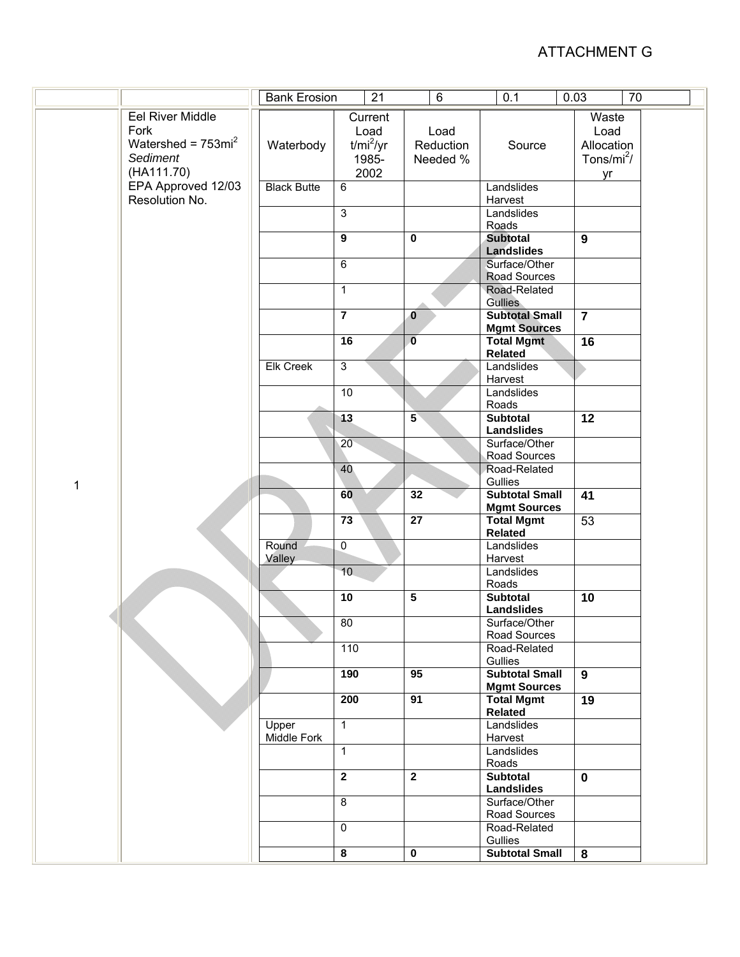|                         | 21<br><b>Bank Erosion</b> |                         | 6                       | 0.1                      | 70<br>0.03              |  |
|-------------------------|---------------------------|-------------------------|-------------------------|--------------------------|-------------------------|--|
| <b>Eel River Middle</b> |                           | Current                 |                         |                          | Waste                   |  |
| Fork                    |                           | Load                    | Load                    |                          | Load                    |  |
| Watershed = $753mi^2$   | Waterbody                 | $t/mi^2/yr$             | Reduction               | Source                   | Allocation              |  |
| Sediment                |                           | 1985-                   | Needed %                |                          | Tons/mi <sup>2</sup> /  |  |
| (HA111.70)              |                           | 2002                    |                         |                          | yr                      |  |
| EPA Approved 12/03      | <b>Black Butte</b>        | 6                       |                         | Landslides               |                         |  |
| Resolution No.          |                           |                         |                         | Harvest                  |                         |  |
|                         |                           | $\overline{3}$          |                         | Landslides               |                         |  |
|                         |                           |                         |                         | Roads                    |                         |  |
|                         |                           | $\overline{9}$          | $\mathbf 0$             | <b>Subtotal</b>          | 9                       |  |
|                         |                           |                         |                         | <b>Landslides</b>        |                         |  |
|                         |                           | $\overline{6}$          |                         | Surface/Other            |                         |  |
|                         |                           |                         |                         | Road Sources             |                         |  |
|                         |                           | $\mathbf{1}$            |                         | Road-Related             |                         |  |
|                         |                           |                         |                         | <b>Gullies</b>           |                         |  |
|                         |                           | $\overline{\mathbf{7}}$ | $\overline{\mathbf{0}}$ | <b>Subtotal Small</b>    | $\overline{7}$          |  |
|                         |                           |                         |                         | <b>Mgmt Sources</b>      |                         |  |
|                         |                           | 16                      | $\overline{\mathbf{0}}$ | <b>Total Mgmt</b>        | 16                      |  |
|                         |                           |                         |                         | <b>Related</b>           |                         |  |
|                         | <b>Elk Creek</b>          | 3                       |                         | Landslides               |                         |  |
|                         |                           |                         |                         | Harvest                  |                         |  |
|                         |                           | 10                      |                         | Landslides               |                         |  |
|                         |                           |                         |                         | Roads                    |                         |  |
|                         |                           | $\overline{13}$         | $5^{\circ}$             | <b>Subtotal</b>          | $\overline{12}$         |  |
|                         |                           |                         |                         | <b>Landslides</b>        |                         |  |
|                         |                           | 20 <sup>°</sup>         |                         | Surface/Other            |                         |  |
|                         |                           |                         |                         | Road Sources             |                         |  |
|                         |                           | 40                      |                         | Road-Related             |                         |  |
| 1                       |                           |                         |                         | Gullies                  |                         |  |
|                         |                           | 60                      | 32                      | <b>Subtotal Small</b>    | $\overline{41}$         |  |
|                         |                           |                         |                         | <b>Mgmt Sources</b>      |                         |  |
|                         |                           | $\overline{73}$         | $\overline{27}$         | <b>Total Mgmt</b>        | 53                      |  |
|                         |                           |                         |                         | <b>Related</b>           |                         |  |
|                         | Round                     | $\overline{0}$          |                         | Landslides               |                         |  |
|                         | Valley                    |                         |                         | Harvest                  |                         |  |
|                         |                           | 10                      |                         | Landslides               |                         |  |
|                         |                           | 10                      | $\overline{5}$          | Roads<br><b>Subtotal</b> |                         |  |
|                         |                           |                         |                         | <b>Landslides</b>        | 10                      |  |
|                         |                           | $\overline{80}$         |                         | Surface/Other            |                         |  |
|                         |                           |                         |                         | Road Sources             |                         |  |
|                         |                           | 110                     |                         | Road-Related             |                         |  |
|                         |                           |                         |                         | Gullies                  |                         |  |
|                         |                           | 190                     | 95                      | <b>Subtotal Small</b>    | 9                       |  |
|                         |                           |                         |                         | <b>Mgmt Sources</b>      |                         |  |
|                         |                           | 200                     | 91                      | <b>Total Mgmt</b>        | 19                      |  |
|                         |                           |                         |                         | <b>Related</b>           |                         |  |
|                         | Upper                     | $\mathbf{1}$            |                         | Landslides               |                         |  |
|                         | Middle Fork               |                         |                         | Harvest                  |                         |  |
|                         |                           | $\mathbf{1}$            |                         | Landslides               |                         |  |
|                         |                           |                         |                         | Roads                    |                         |  |
|                         |                           | $\overline{2}$          | $\overline{2}$          | <b>Subtotal</b>          | $\mathbf 0$             |  |
|                         |                           |                         |                         | <b>Landslides</b>        |                         |  |
|                         |                           | $\overline{8}$          |                         | Surface/Other            |                         |  |
|                         |                           |                         |                         | Road Sources             |                         |  |
|                         |                           | $\mathbf 0$             |                         | Road-Related             |                         |  |
|                         |                           |                         |                         | Gullies                  |                         |  |
|                         |                           | $\overline{\mathbf{8}}$ | $\overline{\mathbf{0}}$ | <b>Subtotal Small</b>    | $\overline{\mathbf{8}}$ |  |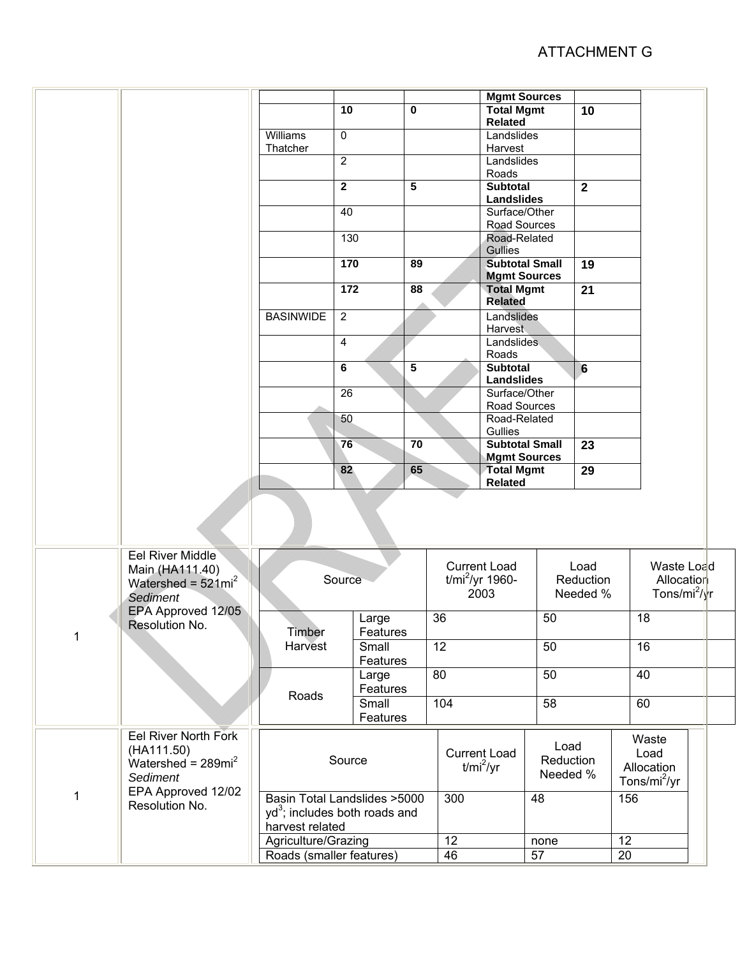|              |                                                                                                                         |                                                                           | 10                | 0                                      |                                    | <b>Mgmt Sources</b><br><b>Total Mgmt</b>     |                               | 10              |                                                 |            |
|--------------|-------------------------------------------------------------------------------------------------------------------------|---------------------------------------------------------------------------|-------------------|----------------------------------------|------------------------------------|----------------------------------------------|-------------------------------|-----------------|-------------------------------------------------|------------|
|              |                                                                                                                         | Williams                                                                  | 0                 |                                        |                                    | Related<br>Landslides                        |                               |                 |                                                 |            |
|              |                                                                                                                         | Thatcher                                                                  | $\overline{2}$    |                                        |                                    | Harvest<br>Landslides                        |                               |                 |                                                 |            |
|              |                                                                                                                         |                                                                           |                   |                                        |                                    | Roads                                        |                               |                 |                                                 |            |
|              |                                                                                                                         |                                                                           | $\mathbf 2$       | 5                                      |                                    | <b>Subtotal</b><br><b>Landslides</b>         |                               | $\mathbf{2}$    |                                                 |            |
|              |                                                                                                                         |                                                                           | 40                |                                        |                                    | Surface/Other                                |                               |                 |                                                 |            |
|              |                                                                                                                         |                                                                           | 130               |                                        |                                    |                                              | Road Sources<br>Road-Related  |                 |                                                 |            |
|              |                                                                                                                         |                                                                           | 170               | 89                                     |                                    | <b>Gullies</b><br><b>Subtotal Small</b>      |                               | $\overline{19}$ |                                                 |            |
|              |                                                                                                                         |                                                                           |                   |                                        |                                    | <b>Mgmt Sources</b>                          |                               |                 |                                                 |            |
|              |                                                                                                                         |                                                                           | 172               | 88                                     |                                    | <b>Total Mgmt</b><br><b>Related</b>          |                               | 21              |                                                 |            |
|              |                                                                                                                         | <b>BASINWIDE</b>                                                          | $\overline{2}$    |                                        |                                    | Landslides<br>Harvest                        |                               |                 |                                                 |            |
|              |                                                                                                                         |                                                                           | 4                 |                                        |                                    | Landslides<br>Roads                          |                               |                 |                                                 |            |
|              |                                                                                                                         |                                                                           | 6                 | 5                                      | <b>Subtotal</b>                    |                                              |                               | $6\phantom{1}6$ |                                                 |            |
|              |                                                                                                                         |                                                                           | 26                |                                        |                                    | Landslides<br>Surface/Other                  |                               |                 |                                                 |            |
|              |                                                                                                                         |                                                                           |                   |                                        |                                    | Road Sources                                 |                               |                 |                                                 |            |
|              |                                                                                                                         |                                                                           | 50                |                                        |                                    | Road-Related<br>Gullies                      |                               |                 |                                                 |            |
|              |                                                                                                                         |                                                                           | 70<br>76          |                                        |                                    | <b>Subtotal Small</b><br><b>Mgmt Sources</b> |                               | $\overline{23}$ |                                                 |            |
|              |                                                                                                                         |                                                                           | 82                | 65                                     |                                    | <b>Total Mgmt</b><br><b>Related</b>          |                               | 29              |                                                 |            |
|              |                                                                                                                         |                                                                           |                   |                                        |                                    |                                              |                               |                 |                                                 |            |
|              | Eel River Middle<br>Main (HA111.40)<br>Watershed = $521mi^2$<br><b>Sediment</b><br>EPA Approved 12/05<br>Resolution No. |                                                                           |                   |                                        |                                    | <b>Current Load</b>                          |                               | Load            |                                                 | Waste Load |
|              |                                                                                                                         | Source                                                                    |                   | $t$ /mi <sup>2</sup> /yr 1960-<br>2003 |                                    | Reduction<br>Needed %                        |                               |                 | Allocation<br>Tons/mi <sup>2</sup> / $\gamma$ r |            |
|              |                                                                                                                         |                                                                           |                   |                                        | 36                                 |                                              | 50                            |                 | $\overline{18}$                                 |            |
| 1            |                                                                                                                         | Timber                                                                    | Large<br>Features |                                        |                                    |                                              |                               |                 |                                                 |            |
|              |                                                                                                                         | Harvest                                                                   | Small<br>Features |                                        | 12                                 |                                              | 50                            |                 | 16                                              |            |
|              |                                                                                                                         |                                                                           | Large             |                                        |                                    | 80                                           |                               | 50              |                                                 |            |
|              |                                                                                                                         | Roads                                                                     | Features<br>Small |                                        | 104                                |                                              | 58                            |                 | 60                                              |            |
|              | <b>Eel River North Fork</b>                                                                                             | Features                                                                  |                   |                                        |                                    |                                              |                               |                 | Waste                                           |            |
| $\mathbf{1}$ | (HA111.50)<br>Watershed = $289mi^2$<br>Sediment<br>EPA Approved 12/02<br>Resolution No.                                 | Source                                                                    |                   |                                        | <b>Current Load</b><br>$t/mi^2/yr$ |                                              | Load<br>Reduction<br>Needed % |                 | Load<br>Allocation                              |            |
|              |                                                                                                                         |                                                                           |                   |                                        |                                    |                                              |                               |                 | Tons/mi <sup>2</sup> /yr                        |            |
|              |                                                                                                                         | Basin Total Landslides >5000<br>yd <sup>3</sup> ; includes both roads and |                   |                                        | 300                                |                                              | 48                            |                 | 156                                             |            |
|              |                                                                                                                         | harvest related                                                           |                   |                                        |                                    |                                              |                               |                 |                                                 |            |
|              |                                                                                                                         | Agriculture/Grazing                                                       |                   |                                        | 12                                 | none                                         |                               |                 | 12                                              |            |
|              |                                                                                                                         | Roads (smaller features)                                                  | 46                |                                        | 57                                 |                                              | 20                            |                 |                                                 |            |